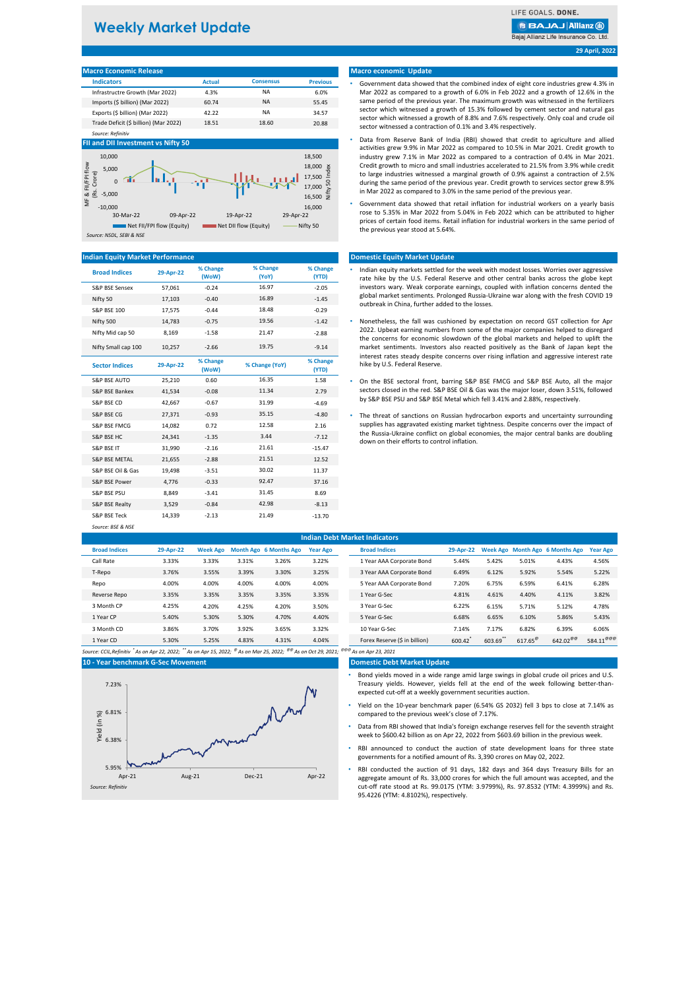# **Weekly Market Update**

LIFE GOALS, DONE.

**BBAJAJ Allianz (ii)** 

Bajaj Allianz Life Insurance Co. Ltd.

# **29 April, 2022**

| <b>Macro Economic Release</b>         |               |                  |                 |
|---------------------------------------|---------------|------------------|-----------------|
| <b>Indicators</b>                     | <b>Actual</b> | <b>Consensus</b> | <b>Previous</b> |
| Infrastructre Growth (Mar 2022)       | 4.3%          | <b>NA</b>        | 6.0%            |
| Imports (\$ billion) (Mar 2022)       | 60.74         | <b>NA</b>        | 55.45           |
| Exports (\$ billion) (Mar 2022)       | 42.22         | <b>NA</b>        | 34.57           |
| Trade Deficit (\$ billion) (Mar 2022) | 18.51         | 18.60            | 20.88           |
| Source: Refinitiv                     |               |                  |                 |

# **FII and DII Investment vs Nifty 50**



## **Indian Equity Market Performance**

| <b>Broad Indices</b>     | 29-Apr-22 | % Change<br>(WoW) | % Change<br>(YoY) | % Change<br>(YTD) |
|--------------------------|-----------|-------------------|-------------------|-------------------|
| S&P BSE Sensex           | 57,061    | $-0.24$           | 16.97             | $-2.05$           |
| Nifty 50                 | 17.103    | $-0.40$           | 16.89             | $-1.45$           |
| <b>S&amp;P BSE 100</b>   | 17,575    | $-0.44$           | 18.48             | $-0.29$           |
| Nifty 500                | 14,783    | $-0.75$           | 19.56             | $-1.42$           |
| Nifty Mid cap 50         | 8,169     | $-1.58$           | 21.47             | $-2.88$           |
| Nifty Small cap 100      | 10,257    | $-2.66$           | 19.75             | $-9.14$           |
| <b>Sector Indices</b>    | 29-Apr-22 | % Change<br>(WoW) | % Change (YoY)    | % Change<br>(YTD) |
| S&P BSE AUTO             | 25,210    | 0.60              | 16.35             | 1.58              |
| S&P BSE Bankex           | 41.534    | $-0.08$           | 11.34             | 2.79              |
| S&P BSE CD               | 42,667    | $-0.67$           | 31.99             | $-4.69$           |
| S&P BSE CG               | 27,371    | $-0.93$           | 35.15             | $-4.80$           |
| S&P BSE FMCG             | 14,082    | 0.72              | 12.58             | 2.16              |
| S&P BSE HC               | 24,341    | $-1.35$           | 3.44              | $-7.12$           |
| S&P BSE IT               | 31.990    | $-2.16$           | 21.61             | $-15.47$          |
| <b>S&amp;P BSE METAL</b> | 21,655    | $-2.88$           | 21.51             | 12.52             |
| S&P BSE Oil & Gas        | 19,498    | $-3.51$           | 30.02             | 11.37             |
| S&P BSE Power            | 4,776     | $-0.33$           | 92.47             | 37.16             |
| <b>S&amp;P BSE PSU</b>   | 8,849     | $-3.41$           | 31.45             | 8.69              |
| S&P BSE Realty           | 3,529     | $-0.84$           | 42.98             | $-8.13$           |
| S&P BSE Teck             | 14,339    | $-2.13$           | 21.49             | $-13.70$          |
| Source: BSF & NSF        |           |                   |                   |                   |

### **Macro economic Update**

- Government data showed that the combined index of eight core industries grew 4.3% in Mar 2022 as compared to a growth of 6.0% in Feb 2022 and a growth of 12.6% in the same period of the previous year. The maximum growth was witnessed in the fertilizers sector which witnessed a growth of 15.3% followed by cement sector and natural gas sector which witnessed a growth of 8.8% and 7.6% respectively. Only coal and crude oil sector witnessed a contraction of 0.1% and 3.4% respectively.
- Data from Reserve Bank of India (RBI) showed that credit to agriculture and allied activities grew 9.9% in Mar 2022 as compared to 10.5% in Mar 2021. Credit growth to industry grew 7.1% in Mar 2022 as compared to a contraction of 0.4% in Mar 2021. Credit growth to micro and small industries accelerated to 21.5% from 3.9% while credit to large industries witnessed a marginal growth of 0.9% against a contraction of 2.5% during the same period of the previous year. Credit growth to services sector grew 8.9% in Mar 2022 as compared to 3.0% in the same period of the previous year.
- Government data showed that retail inflation for industrial workers on a yearly basis rose to 5.35% in Mar 2022 from 5.04% in Feb 2022 which can be attributed to higher prices of certain food items. Retail inflation for industrial workers in the same period of the previous year stood at 5.64%.

# **Domestic Equity Market Update**

- Indian equity markets settled for the week with modest losses. Worries over aggressive rate hike by the U.S. Federal Reserve and other central banks across the globe kept investors wary. Weak corporate earnings, coupled with inflation concerns dented the global market sentiments. Prolonged Russia-Ukraine war along with the fresh COVID 19 outbreak in China, further added to the losses.
- Nonetheless, the fall was cushioned by expectation on record GST collection for Apr 2022. Upbeat earning numbers from some of the major companies helped to disregard the concerns for economic slowdown of the global markets and helped to uplift the market sentiments. Investors also reacted positively as the Bank of Japan kept the interest rates steady despite concerns over rising inflation and aggressive interest rate hike by U.S. Federal Reserve.
- On the BSE sectoral front, barring S&P BSE FMCG and S&P BSE Auto, all the major sectors closed in the red. S&P BSE Oil & Gas was the major loser, down 3.51%, followed by S&P BSE PSU and S&P BSE Metal which fell 3.41% and 2.88%, respectively.
- S&P BSE FMCG 14,082 0.72 12.58 2.16 supplies has aggravated existing market tightness. Despite concerns over the impact of The threat of sanctions on Russian hydrocarbon exports and uncertainty surrounding the Russia-Ukraine conflict on global economies, the major central banks are doubling down on their efforts to control inflation.

| <b>Indian Debt Market Indicators</b> |           |                 |       |                               |                 |                                                                                                                                                                        |           |          |                       |                                 |                     |
|--------------------------------------|-----------|-----------------|-------|-------------------------------|-----------------|------------------------------------------------------------------------------------------------------------------------------------------------------------------------|-----------|----------|-----------------------|---------------------------------|---------------------|
| <b>Broad Indices</b>                 | 29-Apr-22 | <b>Week Ago</b> |       | <b>Month Ago 6 Months Ago</b> | <b>Year Ago</b> | <b>Broad Indices</b>                                                                                                                                                   | 29-Apr-22 |          |                       | Week Ago Month Ago 6 Months Ago | <b>Year Ago</b>     |
| Call Rate                            | 3.33%     | 3.33%           | 3.31% | 3.26%                         | 3.22%           | 1 Year AAA Corporate Bond                                                                                                                                              | 5.44%     | 5.42%    | 5.01%                 | 4.43%                           | 4.56%               |
| T-Repo                               | 3.76%     | 3.55%           | 3.39% | 3.30%                         | 3.25%           | 3 Year AAA Corporate Bond                                                                                                                                              | 6.49%     | 6.12%    | 5.92%                 | 5.54%                           | 5.22%               |
| Repo                                 | 4.00%     | 4.00%           | 4.00% | 4.00%                         | 4.00%           | 5 Year AAA Corporate Bond                                                                                                                                              | 7.20%     | 6.75%    | 6.59%                 | 6.41%                           | 6.28%               |
| Reverse Repo                         | 3.35%     | 3.35%           | 3.35% | 3.35%                         | 3.35%           | 1 Year G-Sec                                                                                                                                                           | 4.81%     | 4.61%    | 4.40%                 | 4.11%                           | 3.82%               |
| 3 Month CP                           | 4.25%     | 4.20%           | 4.25% | 4.20%                         | 3.50%           | 3 Year G-Sec                                                                                                                                                           | 6.22%     | 6.15%    | 5.71%                 | 5.12%                           | 4.78%               |
| 1 Year CP                            | 5.40%     | 5.30%           | 5.30% | 4.70%                         | 4.40%           | 5 Year G-Sec                                                                                                                                                           | 6.68%     | 6.65%    | 6.10%                 | 5.86%                           | 5.43%               |
| 3 Month CD                           | 3.86%     | 3.70%           | 3.92% | 3.65%                         | 3.32%           | 10 Year G-Sec                                                                                                                                                          | 7.14%     | 7.17%    | 6.82%                 | 6.39%                           | 6.06%               |
| 1 Year CD                            | 5.30%     | 5.25%           | 4.83% | 4.31%                         | 4.04%           | Forex Reserve (\$ in billion)                                                                                                                                          | 600.42    | 603.69** | $617.65^{\circ\circ}$ | $642.02^{\Theta\Theta}$         | $584.11^{\text{O}}$ |
|                                      |           |                 |       |                               |                 | Source: CCIL,Refinitiv ໋As on Apr 22, 2022; ໋໋As on Apr 15, 2022; <sup>®</sup> As on Mar 25, 2022; <sup>®®</sup> As on Oct 29, 2021; <sup>®®®</sup> As on Apr 23, 2021 |           |          |                       |                                 |                     |

**10 - Year benchmark G-Sec Movement**



#### **Domestic Debt Market Update**

- Bond yields moved in a wide range amid large swings in global crude oil prices and U.S. Treasury yields. However, yields fell at the end of the week following better-thanexpected cut-off at a weekly government securities auction.
- Yield on the 10-year benchmark paper (6.54% GS 2032) fell 3 bps to close at 7.14% as compared to the previous week's close of 7.17%.
- Data from RBI showed that India's foreign exchange reserves fell for the seventh straight week to \$600.42 billion as on Apr 22, 2022 from \$603.69 billion in the previous week.
- RBI announced to conduct the auction of state development loans for three state governments for a notified amount of Rs. 3,390 crores on May 02, 2022.
- RBI conducted the auction of 91 days, 182 days and 364 days Treasury Bills for an aggregate amount of Rs. 33,000 crores for which the full amount was accepted, and the cut-off rate stood at Rs. 99.0175 (YTM: 3.9799%), Rs. 97.8532 (YTM: 4.3999%) and Rs. 95.4226 (YTM: 4.8102%), respectively.